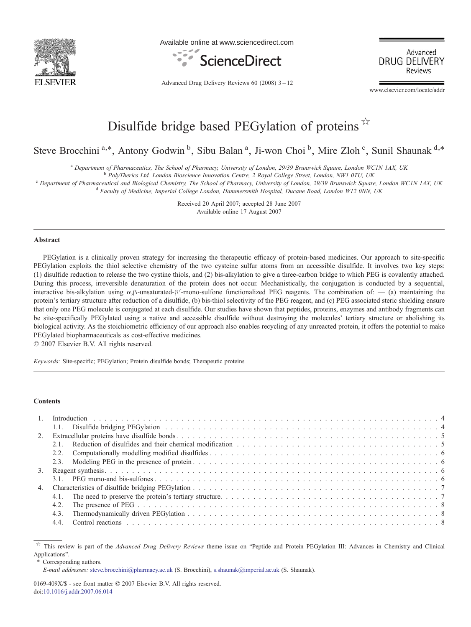

Available online at www.sciencedirect.com



Advanced **DRUG DELIVERY** Reviews

Advanced Drug Delivery Reviews 60 (2008) 3–12

www.elsevier.com/locate/addr

# Disulfide bridge based PEGylation of proteins  $\overrightarrow{x}$

Steve Brocchini<sup>a,\*</sup>, Antony Godwin<sup>b</sup>, Sibu Balan<sup>a</sup>, Ji-won Choi<sup>b</sup>, Mire Zloh<sup>c</sup>, Sunil Shaunak<sup>d,\*</sup>

<sup>a</sup> Department of Pharmaceutics, The School of Pharmacy, University of London, 29/39 Brunswick Square, London WC1N 1AX, UK b PolyTherics Ltd. London Bioscience Innovation Centre, 2 Royal College Street, London, NW1 0TU, U

 $^{\circ}$  Department of Pharmaceutical and Biological Chemistry, The School of Pharmacy, University of London, 29/39 Brunswick Square, London WC1N 1AX, UK<br><sup>d</sup> Faculty of Medicine, Imperial College London, Hammersmith Hospita

Received 20 April 2007; accepted 28 June 2007 Available online 17 August 2007

#### Abstract

PEGylation is a clinically proven strategy for increasing the therapeutic efficacy of protein-based medicines. Our approach to site-specific PEGylation exploits the thiol selective chemistry of the two cysteine sulfur atoms from an accessible disulfide. It involves two key steps: (1) disulfide reduction to release the two cystine thiols, and (2) bis-alkylation to give a three-carbon bridge to which PEG is covalently attached. During this process, irreversible denaturation of the protein does not occur. Mechanistically, the conjugation is conducted by a sequential, interactive bis-alkylation using α,β-unsaturated-β′-mono-sulfone functionalized PEG reagents. The combination of: — (a) maintaining the protein's tertiary structure after reduction of a disulfide, (b) bis-thiol selectivity of the PEG reagent, and (c) PEG associated steric shielding ensure that only one PEG molecule is conjugated at each disulfide. Our studies have shown that peptides, proteins, enzymes and antibody fragments can be site-specifically PEGylated using a native and accessible disulfide without destroying the molecules' tertiary structure or abolishing its biological activity. As the stoichiometric efficiency of our approach also enables recycling of any unreacted protein, it offers the potential to make PEGylated biopharmaceuticals as cost-effective medicines.

© 2007 Elsevier B.V. All rights reserved.

Keywords: Site-specific; PEGylation; Protein disulfide bonds; Therapeutic proteins

#### **Contents**

⁎ Corresponding authors.

 $\star$  This review is part of the *Advanced Drug Delivery Reviews* theme issue on "Peptide and Protein PEGylation III: Advances in Chemistry and Clinical Applications".

E-mail addresses: [steve.brocchini@pharmacy.ac.uk](mailto:steve.brocchini@pharmacy.ac.uk) (S. Brocchini), [s.shaunak@imperial.ac.uk](mailto:s.shaunak@imperial.ac.uk) (S. Shaunak).

<sup>0169-409</sup>X/\$ - see front matter © 2007 Elsevier B.V. All rights reserved. doi:[10.1016/j.addr.2007.06.014](http://dx.doi.org/10.1016/j.addr.2007.06.014)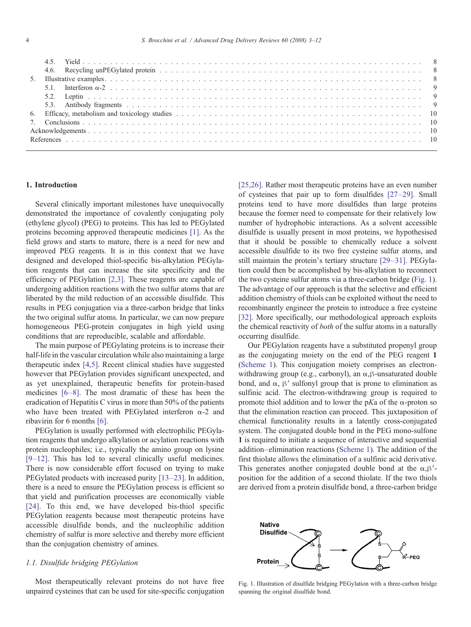# 1. Introduction

Several clinically important milestones have unequivocally demonstrated the importance of covalently conjugating poly (ethylene glycol) (PEG) to proteins. This has led to PEGylated proteins becoming approved therapeutic medicines [\[1\].](#page-7-0) As the field grows and starts to mature, there is a need for new and improved PEG reagents. It is in this context that we have designed and developed thiol-specific bis-alkylation PEGylation reagents that can increase the site specificity and the efficiency of PEGylation [\[2,3\]](#page-7-0). These reagents are capable of undergoing addition reactions with the two sulfur atoms that are liberated by the mild reduction of an accessible disulfide. This results in PEG conjugation via a three-carbon bridge that links the two original sulfur atoms. In particular, we can now prepare homogeneous PEG-protein conjugates in high yield using conditions that are reproducible, scalable and affordable.

The main purpose of PEGylating proteins is to increase their half-life in the vascular circulation while also maintaining a large therapeutic index [\[4,5\].](#page-7-0) Recent clinical studies have suggested however that PEGylation provides significant unexpected, and as yet unexplained, therapeutic benefits for protein-based medicines [6–[8\]](#page-7-0). The most dramatic of these has been the eradication of Hepatitis C virus in more than 50% of the patients who have been treated with PEGylated interferon  $\alpha$ -2 and ribavirin for 6 months [\[6\]](#page-7-0).

PEGylation is usually performed with electrophilic PEGylation reagents that undergo alkylation or acylation reactions with protein nucleophiles; i.e., typically the amino group on lysine [9–[12\]](#page-7-0). This has led to several clinically useful medicines. There is now considerable effort focused on trying to make PEGylated products with increased purity [13–[23\]](#page-7-0). In addition, there is a need to ensure the PEGylation process is efficient so that yield and purification processes are economically viable [\[24\].](#page-8-0) To this end, we have developed bis-thiol specific PEGylation reagents because most therapeutic proteins have accessible disulfide bonds, and the nucleophilic addition chemistry of sulfur is more selective and thereby more efficient than the conjugation chemistry of amines.

# 1.1. Disulfide bridging PEGylation

Most therapeutically relevant proteins do not have free unpaired cysteines that can be used for site-specific conjugation [\[25,26\].](#page-8-0) Rather most therapeutic proteins have an even number of cysteines that pair up to form disulfides [\[27](#page-8-0)–29]. Small proteins tend to have more disulfides than large proteins because the former need to compensate for their relatively low number of hydrophobic interactions. As a solvent accessible disulfide is usually present in most proteins, we hypothesised that it should be possible to chemically reduce a solvent accessible disulfide to its two free cysteine sulfur atoms, and still maintain the protein's tertiary structure [29–[31\].](#page-8-0) PEGylation could then be accomplished by bis-alkylation to reconnect the two cysteine sulfur atoms via a three-carbon bridge (Fig. 1). The advantage of our approach is that the selective and efficient addition chemistry of thiols can be exploited without the need to recombinantly engineer the protein to introduce a free cysteine [\[32\]](#page-8-0). More specifically, our methodological approach exploits the chemical reactivity of both of the sulfur atoms in a naturally occurring disulfide.

Our PEGylation reagents have a substituted propenyl group as the conjugating moiety on the end of the PEG reagent 1 ([Scheme 1](#page-2-0)). This conjugation moiety comprises an electronwithdrawing group (e.g., carbonyl), an  $\alpha$ , $\beta$ -unsaturated double bond, and  $\alpha$ ,  $\beta'$  sulfonyl group that is prone to elimination as sulfinic acid. The electron-withdrawing group is required to promote thiol addition and to lower the pKa of the  $\alpha$ -proton so that the elimination reaction can proceed. This juxtaposition of chemical functionality results in a latently cross-conjugated system. The conjugated double bond in the PEG mono-sulfone 1 is required to initiate a sequence of interactive and sequential addition–elimination reactions [\(Scheme 1](#page-2-0)). The addition of the first thiolate allows the elimination of a sulfinic acid derivative. This generates another conjugated double bond at the  $\alpha$ ,  $\beta'$ position for the addition of a second thiolate. If the two thiols are derived from a protein disulfide bond, a three-carbon bridge



Fig. 1. Illustration of disulfide bridging PEGylation with a three-carbon bridge spanning the original disulfide bond.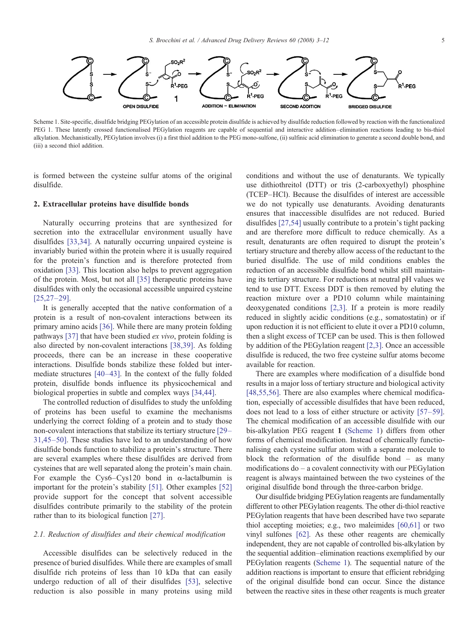<span id="page-2-0"></span>

Scheme 1. Site-specific, disulfide bridging PEGylation of an accessible protein disulfide is achieved by disulfide reduction followed by reaction with the functionalized PEG 1. These latently crossed functionalised PEGylation reagents are capable of sequential and interactive addition–elimination reactions leading to bis-thiol alkylation. Mechanistically, PEGylation involves (i) a first thiol addition to the PEG mono-sulfone, (ii) sulfinic acid elimination to generate a second double bond, and (iii) a second thiol addition.

is formed between the cysteine sulfur atoms of the original disulfide.

#### 2. Extracellular proteins have disulfide bonds

Naturally occurring proteins that are synthesized for secretion into the extracellular environment usually have disulfides [\[33,34\].](#page-8-0) A naturally occurring unpaired cysteine is invariably buried within the protein where it is usually required for the protein's function and is therefore protected from oxidation [\[33\]](#page-8-0). This location also helps to prevent aggregation of the protein. Most, but not all [\[35\]](#page-8-0) therapeutic proteins have disulfides with only the occasional accessible unpaired cysteine [\[25,27](#page-8-0)–29].

It is generally accepted that the native conformation of a protein is a result of non-covalent interactions between its primary amino acids [\[36\]](#page-8-0). While there are many protein folding pathways [\[37\]](#page-8-0) that have been studied ex vivo, protein folding is also directed by non-covalent interactions [\[38,39\]](#page-8-0). As folding proceeds, there can be an increase in these cooperative interactions. Disulfide bonds stabilize these folded but intermediate structures [40–[43\].](#page-8-0) In the context of the fully folded protein, disulfide bonds influence its physicochemical and biological properties in subtle and complex ways [\[34,44\]](#page-8-0).

The controlled reduction of disulfides to study the unfolding of proteins has been useful to examine the mechanisms underlying the correct folding of a protein and to study those non-covalent interactions that stabilize its tertiary structure [\[29](#page-8-0)– [31,45](#page-8-0)–50]. These studies have led to an understanding of how disulfide bonds function to stabilize a protein's structure. There are several examples where these disulfides are derived from cysteines that are well separated along the protein's main chain. For example the Cys6–Cys120 bond in  $\alpha$ -lactalbumin is important for the protein's stability [\[51\].](#page-8-0) Other examples [\[52\]](#page-8-0) provide support for the concept that solvent accessible disulfides contribute primarily to the stability of the protein rather than to its biological function [\[27\]](#page-8-0).

# 2.1. Reduction of disulfides and their chemical modification

Accessible disulfides can be selectively reduced in the presence of buried disulfides. While there are examples of small disulfide rich proteins of less than 10 kDa that can easily undergo reduction of all of their disulfides [\[53\],](#page-8-0) selective reduction is also possible in many proteins using mild conditions and without the use of denaturants. We typically use dithiothreitol (DTT) or tris (2-carboxyethyl) phosphine (TCEP–HCl). Because the disulfides of interest are accessible we do not typically use denaturants. Avoiding denaturants ensures that inaccessible disulfides are not reduced. Buried disulfides [\[27,54\]](#page-8-0) usually contribute to a protein's tight packing and are therefore more difficult to reduce chemically. As a result, denaturants are often required to disrupt the protein's tertiary structure and thereby allow access of the reductant to the buried disulfide. The use of mild conditions enables the reduction of an accessible disulfide bond whilst still maintaining its tertiary structure. For reductions at neutral pH values we tend to use DTT. Excess DDT is then removed by eluting the reaction mixture over a PD10 column while maintaining deoxygenated conditions [\[2,3\].](#page-7-0) If a protein is more readily reduced in slightly acidic conditions (e.g., somatostatin) or if upon reduction it is not efficient to elute it over a PD10 column, then a slight excess of TCEP can be used. This is then followed by addition of the PEGylation reagent [\[2,3\].](#page-7-0) Once an accessible disulfide is reduced, the two free cysteine sulfur atoms become available for reaction.

There are examples where modification of a disulfide bond results in a major loss of tertiary structure and biological activity [\[48,55,56\].](#page-8-0) There are also examples where chemical modification, especially of accessible disulfides that have been reduced, does not lead to a loss of either structure or activity [57–[59\]](#page-8-0). The chemical modification of an accessible disulfide with our bis-alkylation PEG reagent 1 (Scheme 1) differs from other forms of chemical modification. Instead of chemically functionalising each cysteine sulfur atom with a separate molecule to block the reformation of the disulfide bond – as many modifications do – a covalent connectivity with our PEGylation reagent is always maintained between the two cysteines of the original disulfide bond through the three-carbon bridge.

Our disulfide bridging PEGylation reagents are fundamentally different to other PEGylation reagents. The other di-thiol reactive PEGylation reagents that have been described have two separate thiol accepting moieties; e.g., two maleimides [\[60,61\]](#page-8-0) or two vinyl sulfones [\[62\].](#page-8-0) As these other reagents are chemically independent, they are not capable of controlled bis-alkylation by the sequential addition–elimination reactions exemplified by our PEGylation reagents (Scheme 1). The sequential nature of the addition reactions is important to ensure that efficient rebridging of the original disulfide bond can occur. Since the distance between the reactive sites in these other reagents is much greater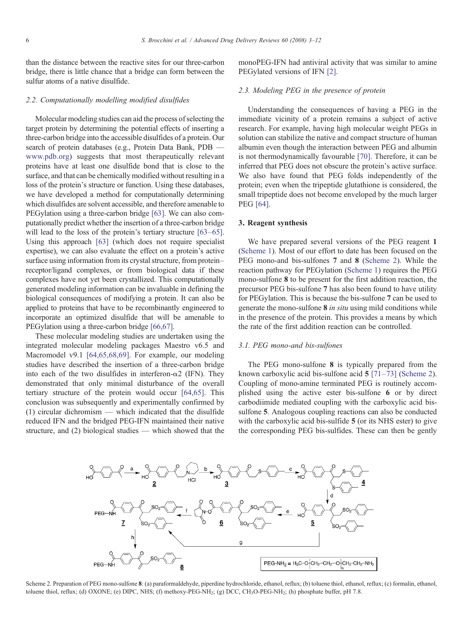than the distance between the reactive sites for our three-carbon bridge, there is little chance that a bridge can form between the sulfur atoms of a native disulfide.

#### 2.2. Computationally modelling modified disulfides

Molecular modeling studies can aid the process of selecting the target protein by determining the potential effects of inserting a three-carbon bridge into the accessible disulfides of a protein. Our search of protein databases (e.g., Protein Data Bank, PDB [www.pdb.org\)](http://www.pdb.org) suggests that most therapeutically relevant proteins have at least one disulfide bond that is close to the surface, and that can be chemically modified without resulting in a loss of the protein's structure or function. Using these databases, we have developed a method for computationally determining which disulfides are solvent accessible, and therefore amenable to PEGylation using a three-carbon bridge [\[63\].](#page-8-0) We can also computationally predict whether the insertion of a three-carbon bridge will lead to the loss of the protein's tertiary structure [63–[65\]](#page-8-0). Using this approach [\[63\]](#page-8-0) (which does not require specialist expertise), we can also evaluate the effect on a protein's active surface using information from its crystal structure, from protein– receptor/ligand complexes, or from biological data if these complexes have not yet been crystallized. This computationally generated modeling information can be invaluable in defining the biological consequences of modifying a protein. It can also be applied to proteins that have to be recombinantly engineered to incorporate an optimized disulfide that will be amenable to PEGylation using a three-carbon bridge [\[66,67\]](#page-9-0).

These molecular modeling studies are undertaken using the integrated molecular modeling packages Maestro v6.5 and Macromodel v9.1 [\[64,65,68,69\]](#page-8-0). For example, our modeling studies have described the insertion of a three-carbon bridge into each of the two disulfides in interferon- $\alpha$ 2 (IFN). They demonstrated that only minimal disturbance of the overall tertiary structure of the protein would occur [\[64,65\]](#page-8-0). This conclusion was subsequently and experimentally confirmed by (1) circular dichromism — which indicated that the disulfide reduced IFN and the bridged PEG-IFN maintained their native structure, and (2) biological studies — which showed that the monoPEG-IFN had antiviral activity that was similar to amine PEGylated versions of IFN [\[2\]](#page-7-0).

# 2.3. Modeling PEG in the presence of protein

Understanding the consequences of having a PEG in the immediate vicinity of a protein remains a subject of active research. For example, having high molecular weight PEGs in solution can stabilize the native and compact structure of human albumin even though the interaction between PEG and albumin is not thermodynamically favourable [\[70\]](#page-9-0). Therefore, it can be inferred that PEG does not obscure the protein's active surface. We also have found that PEG folds independently of the protein; even when the tripeptide glutathione is considered, the small tripeptide does not become enveloped by the much larger PEG [\[64\].](#page-8-0)

# 3. Reagent synthesis

We have prepared several versions of the PEG reagent 1 ([Scheme 1](#page-2-0)). Most of our effort to date has been focused on the PEG mono-and bis-sulfones 7 and 8 (Scheme 2). While the reaction pathway for PEGylation [\(Scheme 1](#page-2-0)) requires the PEG mono-sulfone 8 to be present for the first addition reaction, the precursor PEG bis-sulfone 7 has also been found to have utility for PEGylation. This is because the bis-sulfone 7 can be used to generate the mono-sulfone 8 in situ using mild conditions while in the presence of the protein. This provides a means by which the rate of the first addition reaction can be controlled.

#### 3.1. PEG mono-and bis-sulfones

The PEG mono-sulfone 8 is typically prepared from the known carboxylic acid bis-sulfone acid 5 [\[71](#page-9-0)–73] (Scheme 2). Coupling of mono-amine terminated PEG is routinely accomplished using the active ester bis-sulfone 6 or by direct carbodiimide mediated coupling with the carboxylic acid bissulfone 5. Analogous coupling reactions can also be conducted with the carboxylic acid bis-sulfide 5 (or its NHS ester) to give the corresponding PEG bis-sulfides. These can then be gently



Scheme 2. Preparation of PEG mono-sulfone 8: (a) paraformaldehyde, piperdine hydrochloride, ethanol, reflux; (b) toluene thiol, ethanol, reflux; (c) formalin, ethanol, toluene thiol, reflux; (d) OXONE; (e) DIPC, NHS; (f) methoxy-PEG-NH<sub>2</sub>; (g) DCC, CH<sub>3</sub>O-PEG-NH<sub>2</sub>; (h) phosphate buffer, pH 7.8.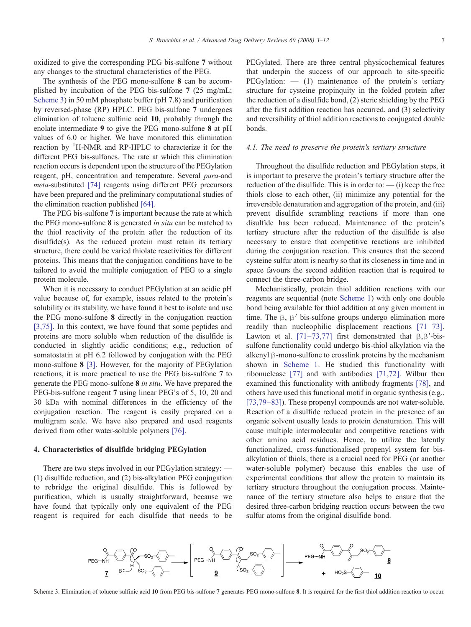oxidized to give the corresponding PEG bis-sulfone 7 without any changes to the structural characteristics of the PEG.

The synthesis of the PEG mono-sulfone 8 can be accomplished by incubation of the PEG bis-sulfone 7 (25 mg/mL; Scheme 3) in 50 mM phosphate buffer (pH 7.8) and purification by reversed-phase (RP) HPLC. PEG bis-sulfone 7 undergoes elimination of toluene sulfinic acid 10, probably through the enolate intermediate 9 to give the PEG mono-sulfone 8 at pH values of 6.0 or higher. We have monitored this elimination reaction by <sup>1</sup>H-NMR and RP-HPLC to characterize it for the different PEG bis-sulfones. The rate at which this elimination reaction occurs is dependent upon the structure of the PEGylation reagent, pH, concentration and temperature. Several para-and meta-substituted [\[74\]](#page-9-0) reagents using different PEG precursors have been prepared and the preliminary computational studies of the elimination reaction published [\[64\].](#page-8-0)

The PEG bis-sulfone 7 is important because the rate at which the PEG mono-sulfone 8 is generated in situ can be matched to the thiol reactivity of the protein after the reduction of its disulfide(s). As the reduced protein must retain its tertiary structure, there could be varied thiolate reactivities for different proteins. This means that the conjugation conditions have to be tailored to avoid the multiple conjugation of PEG to a single protein molecule.

When it is necessary to conduct PEGylation at an acidic pH value because of, for example, issues related to the protein's solubility or its stability, we have found it best to isolate and use the PEG mono-sulfone 8 directly in the conjugation reaction [\[3,75\]](#page-7-0). In this context, we have found that some peptides and proteins are more soluble when reduction of the disulfide is conducted in slightly acidic conditions; e.g., reduction of somatostatin at pH 6.2 followed by conjugation with the PEG mono-sulfone 8 [\[3\].](#page-7-0) However, for the majority of PEGylation reactions, it is more practical to use the PEG bis-sulfone 7 to generate the PEG mono-sulfone 8 in situ. We have prepared the PEG-bis-sulfone reagent 7 using linear PEG's of 5, 10, 20 and 30 kDa with nominal differences in the efficiency of the conjugation reaction. The reagent is easily prepared on a multigram scale. We have also prepared and used reagents derived from other water-soluble polymers [\[76\]](#page-9-0).

#### 4. Characteristics of disulfide bridging PEGylation

There are two steps involved in our PEGylation strategy: — (1) disulfide reduction, and (2) bis-alkylation PEG conjugation to rebridge the original disulfide. This is followed by purification, which is usually straightforward, because we have found that typically only one equivalent of the PEG reagent is required for each disulfide that needs to be PEGylated. There are three central physicochemical features that underpin the success of our approach to site-specific  $PEGulation: — (1)$  maintenance of the protein's tertiary structure for cysteine propinquity in the folded protein after the reduction of a disulfide bond, (2) steric shielding by the PEG after the first addition reaction has occurred, and (3) selectivity and reversibility of thiol addition reactions to conjugated double bonds.

# 4.1. The need to preserve the protein's tertiary structure

Throughout the disulfide reduction and PEGylation steps, it is important to preserve the protein's tertiary structure after the reduction of the disulfide. This is in order to:  $-$  (i) keep the free thiols close to each other, (ii) minimize any potential for the irreversible denaturation and aggregation of the protein, and (iii) prevent disulfide scrambling reactions if more than one disulfide has been reduced. Maintenance of the protein's tertiary structure after the reduction of the disulfide is also necessary to ensure that competitive reactions are inhibited during the conjugation reaction. This ensures that the second cysteine sulfur atom is nearby so that its closeness in time and in space favours the second addition reaction that is required to connect the three-carbon bridge.

Mechanistically, protein thiol addition reactions with our reagents are sequential (note [Scheme 1](#page-2-0)) with only one double bond being available for thiol addition at any given moment in time. The β, β′ bis-sulfone groups undergo elimination more readily than nucleophilic displacement reactions [71–[73\]](#page-9-0). Lawton et al.  $[71-73,77]$  $[71-73,77]$  first demonstrated that  $\beta, \beta'$ -bissulfone functionality could undergo bis-thiol alkylation via the alkenyl β-mono-sulfone to crosslink proteins by the mechanism shown in [Scheme 1](#page-2-0). He studied this functionality with ribonuclease [\[77\]](#page-9-0) and with antibodies [\[71,72\]](#page-9-0). Wilbur then examined this functionality with antibody fragments [\[78\]](#page-9-0), and others have used this functional motif in organic synthesis (e.g., [\[73,79](#page-9-0)–83]). These propenyl compounds are not water-soluble. Reaction of a disulfide reduced protein in the presence of an organic solvent usually leads to protein denaturation. This will cause multiple intermolecular and competitive reactions with other amino acid residues. Hence, to utilize the latently functionalized, cross-functionalised propenyl system for bisalkylation of thiols, there is a crucial need for PEG (or another water-soluble polymer) because this enables the use of experimental conditions that allow the protein to maintain its tertiary structure throughout the conjugation process. Maintenance of the tertiary structure also helps to ensure that the desired three-carbon bridging reaction occurs between the two sulfur atoms from the original disulfide bond.



Scheme 3. Elimination of toluene sulfinic acid 10 from PEG bis-sulfone 7 generates PEG mono-sulfone 8. It is required for the first thiol addition reaction to occur.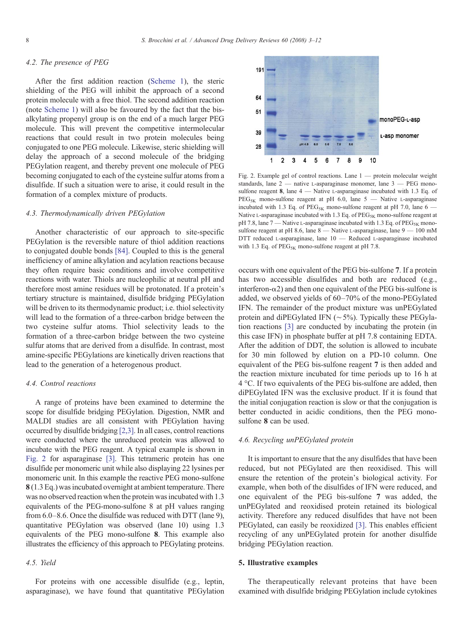# 4.2. The presence of PEG

After the first addition reaction [\(Scheme 1\)](#page-2-0), the steric shielding of the PEG will inhibit the approach of a second protein molecule with a free thiol. The second addition reaction (note [Scheme 1](#page-2-0)) will also be favoured by the fact that the bisalkylating propenyl group is on the end of a much larger PEG molecule. This will prevent the competitive intermolecular reactions that could result in two protein molecules being conjugated to one PEG molecule. Likewise, steric shielding will delay the approach of a second molecule of the bridging PEGylation reagent, and thereby prevent one molecule of PEG becoming conjugated to each of the cysteine sulfur atoms from a disulfide. If such a situation were to arise, it could result in the formation of a complex mixture of products.

#### 4.3. Thermodynamically driven PEGylation

Another characteristic of our approach to site-specific PEGylation is the reversible nature of thiol addition reactions to conjugated double bonds [\[84\].](#page-9-0) Coupled to this is the general inefficiency of amine alkylation and acylation reactions because they often require basic conditions and involve competitive reactions with water. Thiols are nucleophilic at neutral pH and therefore most amine residues will be protonated. If a protein's tertiary structure is maintained, disulfide bridging PEGylation will be driven to its thermodynamic product; i.e. thiol selectivity will lead to the formation of a three-carbon bridge between the two cysteine sulfur atoms. Thiol selectivity leads to the formation of a three-carbon bridge between the two cysteine sulfur atoms that are derived from a disulfide. In contrast, most amine-specific PEGylations are kinetically driven reactions that lead to the generation of a heterogenous product.

# 4.4. Control reactions

A range of proteins have been examined to determine the scope for disulfide bridging PEGylation. Digestion, NMR and MALDI studies are all consistent with PEGylation having occurred by disulfide bridging [\[2,3\]](#page-7-0). In all cases, control reactions were conducted where the unreduced protein was allowed to incubate with the PEG reagent. A typical example is shown in Fig. 2 for asparaginase [\[3\]](#page-7-0). This tetrameric protein has one disulfide per monomeric unit while also displaying 22 lysines per monomeric unit. In this example the reactive PEG mono-sulfone 8 (1.3 Eq.) was incubated overnight at ambient temperature. There was no observed reaction when the protein was incubated with 1.3 equivalents of the PEG-mono-sulfone 8 at pH values ranging from 6.0–8.6. Once the disulfide was reduced with DTT (lane 9), quantitative PEGylation was observed (lane 10) using 1.3 equivalents of the PEG mono-sulfone 8. This example also illustrates the efficiency of this approach to PEGylating proteins.

# 4.5. Yield

For proteins with one accessible disulfide (e.g., leptin, asparaginase), we have found that quantitative PEGylation



Fig. 2. Example gel of control reactions. Lane  $1$  — protein molecular weight standards, lane 2 — native L-asparaginase monomer, lane 3 — PEG monosulfone reagent 8, lane 4 — Native L-asparaginase incubated with 1.3 Eq. of  $PEG_{5K}$  mono-sulfone reagent at pH 6.0, lane 5 — Native L-asparaginase incubated with 1.3 Eq. of PEG<sub>5K</sub> mono-sulfone reagent at pH 7.0, lane  $6 -$ Native L-asparaginase incubated with 1.3 Eq. of  $PEG_{5K}$  mono-sulfone reagent at pH 7.8, lane 7 — Native L-asparaginase incubated with 1.3 Eq. of  $\rm{PEG}_{5K}$  monosulfone reagent at pH 8.6, lane 8 — Native L-asparaginase, lane 9 — 100 mM DTT reduced L-asparaginase, lane 10 — Reduced L-asparaginase incubated with 1.3 Eq. of  $PEG_{5K}$  mono-sulfone reagent at pH 7.8.

occurs with one equivalent of the PEG bis-sulfone 7. If a protein has two accessible disulfides and both are reduced (e.g., interferon- $\alpha$ 2) and then one equivalent of the PEG bis-sulfone is added, we observed yields of 60–70% of the mono-PEGylated IFN. The remainder of the product mixture was unPEGylated protein and diPEGylated IFN (∼5%). Typically these PEGylation reactions [\[3\]](#page-7-0) are conducted by incubating the protein (in this case IFN) in phosphate buffer at pH 7.8 containing EDTA. After the addition of DDT, the solution is allowed to incubate for 30 min followed by elution on a PD-10 column. One equivalent of the PEG bis-sulfone reagent 7 is then added and the reaction mixture incubated for time periods up to 16 h at 4 °C. If two equivalents of the PEG bis-sulfone are added, then diPEGylated IFN was the exclusive product. If it is found that the initial conjugation reaction is slow or that the conjugation is better conducted in acidic conditions, then the PEG monosulfone 8 can be used.

# 4.6. Recycling unPEGylated protein

It is important to ensure that the any disulfides that have been reduced, but not PEGylated are then reoxidised. This will ensure the retention of the protein's biological activity. For example, when both of the disulfides of IFN were reduced, and one equivalent of the PEG bis-sulfone 7 was added, the unPEGylated and reoxidised protein retained its biological activity. Therefore any reduced disulfides that have not been PEGylated, can easily be reoxidized [\[3\]](#page-7-0). This enables efficient recycling of any unPEGylated protein for another disulfide bridging PEGylation reaction.

# 5. Illustrative examples

The therapeutically relevant proteins that have been examined with disulfide bridging PEGylation include cytokines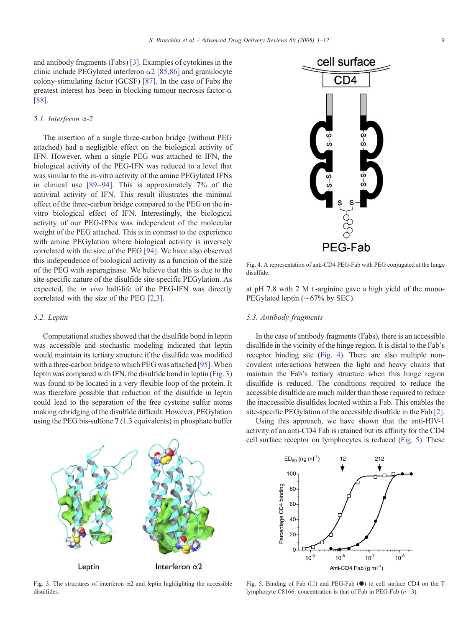and antibody fragments (Fabs) [\[3\].](#page-7-0) Examples of cytokines in the clinic include PEGylated interferon  $\alpha$ 2 [\[85,86\]](#page-9-0) and granulocyte colony-stimulating factor (GCSF) [\[87\].](#page-9-0) In the case of Fabs the greatest interest has been in blocking tumour necrosis factor- $\alpha$ [\[88\].](#page-9-0)

# 5.1. Interferon α-2

The insertion of a single three-carbon bridge (without PEG attached) had a negligible effect on the biological activity of IFN. However, when a single PEG was attached to IFN, the biological activity of the PEG-IFN was reduced to a level that was similar to the in-vitro activity of the amine PEGylated IFNs in clinical use [89–[94\].](#page-9-0) This is approximately 7% of the antiviral activity of IFN. This result illustrates the minimal effect of the three-carbon bridge compared to the PEG on the invitro biological effect of IFN. Interestingly, the biological activity of our PEG-IFNs was independent of the molecular weight of the PEG attached. This is in contrast to the experience with amine PEGylation where biological activity is inversely correlated with the size of the PEG [\[94\]](#page-9-0). We have also observed this independence of biological activity as a function of the size of the PEG with asparaginase. We believe that this is due to the site-specific nature of the disulfide site-specific PEGylation. As expected, the in vivo half-life of the PEG-IFN was directly correlated with the size of the PEG [\[2,3\].](#page-7-0)

#### 5.2. Leptin

Computational studies showed that the disulfide bond in leptin was accessible and stochastic modeling indicated that leptin would maintain its tertiary structure if the disulfide was modified with a three-carbon bridge to which PEG was attached [\[95\]](#page-9-0). When leptin was compared with IFN, the disulfide bond in leptin (Fig. 3) was found to be located in a very flexible loop of the protein. It was therefore possible that reduction of the disulfide in leptin could lead to the separation of the free cysteine sulfur atoms making rebridging of the disulfide difficult. However, PEGylation using the PEG bis-sulfone 7 (1.3 equivalents) in phosphate buffer

# Interferon  $\alpha$ 2 Leptin

Fig. 3. The structures of interferon  $\alpha$ 2 and leptin highlighting the accessible disulfides.



at pH 7.8 with 2 M L-arginine gave a high yield of the mono-PEGylated leptin (∼67% by SEC).

### 5.3. Antibody fragments

In the case of antibody fragments (Fabs), there is an accessible disulfide in the vicinity of the hinge region. It is distal to the Fab's receptor binding site (Fig. 4). There are also multiple noncovalent interactions between the light and heavy chains that maintain the Fab's tertiary structure when this hinge region disulfide is reduced. The conditions required to reduce the accessible disulfide are much milder than those required to reduce the inaccessible disulfides located within a Fab. This enables the site-specific PEGylation of the accessible disulfide in the Fab [\[2\]](#page-7-0).

Using this approach, we have shown that the anti-HIV-1 activity of an anti-CD4 Fab is retained but its affinity for the CD4 cell surface receptor on lymphocytes is reduced (Fig. 5). These



Fig. 5. Binding of Fab  $(\Box)$  and PEG-Fab  $(\bullet)$  to cell surface CD4 on the T lymphocyte C8166: concentration is that of Fab in PEG-Fab  $(n=3)$ .

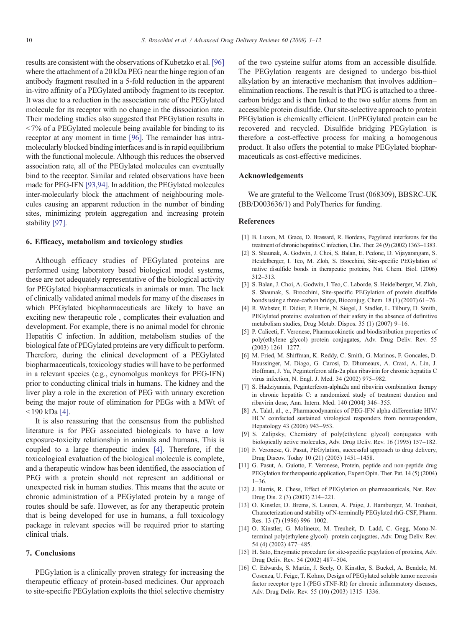<span id="page-7-0"></span>results are consistent with the observations of Kubetzko et al. [\[96\]](#page-9-0) where the attachment of a 20 kDa PEG near the hinge region of an antibody fragment resulted in a 5-fold reduction in the apparent in-vitro affinity of a PEGylated antibody fragment to its receptor. It was due to a reduction in the association rate of the PEGylated molecule for its receptor with no change in the dissociation rate. Their modeling studies also suggested that PEGylation results in  $<$  7% of a PEGylated molecule being available for binding to its receptor at any moment in time [\[96\]](#page-9-0). The remainder has intramolecularly blocked binding interfaces and is in rapid equilibrium with the functional molecule. Although this reduces the observed association rate, all of the PEGylated molecules can eventually bind to the receptor. Similar and related observations have been made for PEG-IFN [\[93,94\]](#page-9-0). In addition, the PEGylated molecules inter-molecularly block the attachment of neighbouring molecules causing an apparent reduction in the number of binding sites, minimizing protein aggregation and increasing protein stability [\[97\]](#page-9-0).

#### 6. Efficacy, metabolism and toxicology studies

Although efficacy studies of PEGylated proteins are performed using laboratory based biological model systems, these are not adequately representative of the biological activity for PEGylated biopharmaceuticals in animals or man. The lack of clinically validated animal models for many of the diseases in which PEGylated biopharmaceuticals are likely to have an exciting new therapeutic role , complicates their evaluation and development. For example, there is no animal model for chronic Hepatitis C infection. In addition, metabolism studies of the biological fate of PEGylated proteins are very difficult to perform. Therefore, during the clinical development of a PEGylated biopharmaceuticals, toxicology studies will have to be performed in a relevant species (e.g., cynomolgus monkeys for PEG-IFN) prior to conducting clinical trials in humans. The kidney and the liver play a role in the excretion of PEG with urinary excretion being the major route of elimination for PEGs with a MWt of  $190$  kDa [4].

It is also reassuring that the consensus from the published literature is for PEG associated biologicals to have a low exposure-toxicity relationship in animals and humans. This is coupled to a large therapeutic index [4]. Therefore, if the toxicological evaluation of the biological molecule is complete, and a therapeutic window has been identified, the association of PEG with a protein should not represent an additional or unexpected risk in human studies. This means that the acute or chronic administration of a PEGylated protein by a range of routes should be safe. However, as for any therapeutic protein that is being developed for use in humans, a full toxicology package in relevant species will be required prior to starting clinical trials.

#### 7. Conclusions

PEGylation is a clinically proven strategy for increasing the therapeutic efficacy of protein-based medicines. Our approach to site-specific PEGylation exploits the thiol selective chemistry

of the two cysteine sulfur atoms from an accessible disulfide. The PEGylation reagents are designed to undergo bis-thiol alkylation by an interactive mechanism that involves addition– elimination reactions. The result is that PEG is attached to a threecarbon bridge and is then linked to the two sulfur atoms from an accessible protein disulfide. Our site-selective approach to protein PEGylation is chemically efficient. UnPEGylated protein can be recovered and recycled. Disulfide bridging PEGylation is therefore a cost-effective process for making a homogenous product. It also offers the potential to make PEGylated biopharmaceuticals as cost-effective medicines.

#### Acknowledgements

We are grateful to the Wellcome Trust (068309), BBSRC-UK (BB/D003636/1) and PolyTherics for funding.

#### References

- [1] B. Luxon, M. Grace, D. Brassard, R. Bordens, Pegylated interferons for the treatment of chronic hepatitis C infection, Clin. Ther. 24 (9) (2002) 1363–1383.
- [2] S. Shaunak, A. Godwin, J. Choi, S. Balan, E. Pedone, D. Vijayarangam, S. Heidelberger, I. Teo, M. Zloh, S. Brocchini, Site-specific PEGylation of native disulfide bonds in therapeutic proteins, Nat. Chem. Biol. (2006) 312–313.
- [3] S. Balan, J. Choi, A. Godwin, I. Teo, C. Laborde, S. Heidelberger, M. Zloh, S. Shaunak, S. Brocchini, Site-specific PEGylation of protein disulfide bonds using a three-carbon bridge, Bioconjug. Chem. 18 (1) (2007) 61–76.
- [4] R. Webster, E. Didier, P. Harris, N. Siegel, J. Stadler, L. Tilbury, D. Smith, PEGylated proteins: evaluation of their safety in the absence of definitive metabolism studies, Drug Metab. Dispos. 35 (1) (2007) 9–16.
- [5] P. Caliceti, F. Veronese, Pharmacokinetic and biodistribution properties of poly(ethylene glycol)–protein conjugates, Adv. Drug Deliv. Rev. 55 (2003) 1261–1277.
- [6] M. Fried, M. Shiffman, K. Reddy, C. Smith, G. Marinos, F. Goncales, D. Haussinger, M. Diago, G. Carosi, D. Dhumeaux, A. Craxi, A. Lin, J. Hoffman, J. Yu, Peginterferon alfa-2a plus ribavirin for chronic hepatitis C virus infection, N. Engl. J. Med. 34 (2002) 975–982.
- [7] S. Hadziyannis, Peginterferon-alpha2a and ribavirin combination therapy in chronic hepatitis C: a randomized study of treatment duration and ribavirin dose, Ann. Intern. Med. 140 (2004) 346–355.
- [8] A. Talal, al., e., Pharmacodynamics of PEG-IFN alpha differentiate HIV/ HCV coinfected sustained virological responders from nonresponders, Hepatology 43 (2006) 943–953.
- [9] S. Zalipsky, Chemistry of poly(ethylene glycol) conjugates with biologically active molecules, Adv. Drug Deliv. Rev. 16 (1995) 157–182.
- [10] F. Veronese, G. Pasut, PEGylation, successful approach to drug delivery, Drug Discov. Today 10 (21) (2005) 1451–1458.
- [11] G. Pasut, A. Guiotto, F. Veronese, Protein, peptide and non-peptide drug PEGylation for therapeutic application, Expert Opin. Ther. Pat. 14 (5) (2004) 1–36.
- [12] J. Harris, R. Chess, Effect of PEGylation on pharmaceuticals, Nat. Rev. Drug Dis. 2 (3) (2003) 214–221.
- [13] O. Kinstler, D. Brems, S. Lauren, A. Paige, J. Hamburger, M. Treuheit, Characterization and stability of N-terminally PEGylated rhG-CSF, Pharm. Res. 13 (7) (1996) 996–1002.
- [14] O. Kinstler, G. Molineux, M. Treuheit, D. Ladd, C. Gegg, Mono-Nterminal poly(ethylene glycol)–protein conjugates, Adv. Drug Deliv. Rev. 54 (4) (2002) 477–485.
- [15] H. Sato, Enzymatic procedure for site-specific pegylation of proteins, Adv. Drug Deliv. Rev. 54 (2002) 487–504.
- [16] C. Edwards, S. Martin, J. Seely, O. Kinstler, S. Buckel, A. Bendele, M. Cosenza, U. Feige, T. Kohno, Design of PEGylated soluble tumor necrosis factor receptor type I (PEG sTNF-RI) for chronic inflammatory diseases, Adv. Drug Deliv. Rev. 55 (10) (2003) 1315–1336.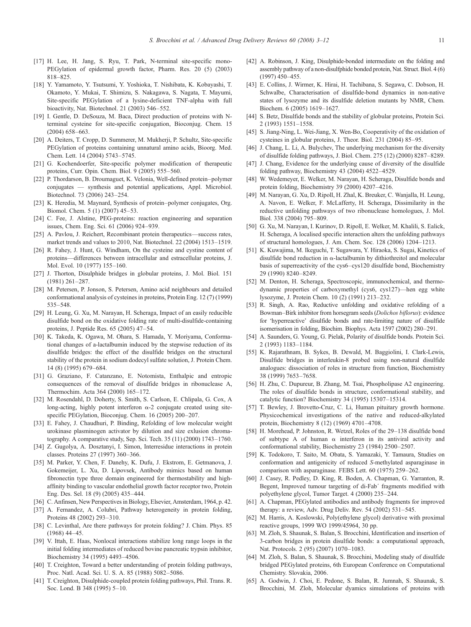- <span id="page-8-0"></span>[17] H. Lee, H. Jang, S. Ryu, T. Park, N-terminal site-specific mono-PEGylation of epidermal growth factor, Pharm. Res. 20 (5) (2003) 818–825.
- [18] Y. Yamamoto, Y. Tsutsumi, Y. Yoshioka, T. Nishibata, K. Kobayashi, T. Okamoto, Y. Mukai, T. Shimizu, S. Nakagawa, S. Nagata, T. Mayumi, Site-specific PEGylation of a lysine-deficient TNF-alpha with full bioactivity, Nat. Biotechnol. 21 (2003) 546–552.
- [19] I. Gentle, D. DeSouza, M. Baca, Direct production of proteins with Nterminal cysteine for site-specific conjugation, Bioconjug. Chem. 15 (2004) 658–663.
- [20] A. Deiters, T. Cropp, D. Summerer, M. Mukherji, P. Schultz, Site-specific PEGylation of proteins containing unnatural amino acids, Bioorg. Med. Chem. Lett. 14 (2004) 5743–5745.
- [21] G. Kochendoerfer, Site-specific polymer modification of therapeutic proteins, Curr. Opin. Chem. Biol. 9 (2005) 555–560.
- [22] P. Thordarson, B. Droumaguet, K. Velonia, Well-defined protein–polymer conjugates — synthesis and potential applications, Appl. Microbiol. Biotechnol. 73 (2006) 243–254.
- [23] K. Heredia, M. Maynard, Synthesis of protein–polymer conjugates, Org. Biomol. Chem. 5 (1) (2007) 45–53.
- [24] C. Fee, J. Alstine, PEG-proteins: reaction engineering and separation issues, Chem. Eng. Sci. 61 (2006) 924–939.
- [25] A. Pavlou, J. Reichert, Recombinant protein therapeutics—success rates, market trends and values to 2010, Nat. Biotechnol. 22 (2004) 1513–1519.
- [26] R. Fahey, J. Hunt, G. Windham, On the cysteine and cystine content of proteins—differences between intracellular and estracellular proteins, J. Mol. Evol. 10 (1977) 155–160.
- [27] J. Thorton, Disulphide bridges in globular proteins, J. Mol. Biol. 151 (1981) 261–287.
- [28] M. Petersen, P. Jonson, S. Petersen, Amino acid neighbours and detailed conformational analysis of cysteines in proteins, Protein Eng. 12 (7) (1999) 535–548.
- [29] H. Leung, G. Xu, M. Narayan, H. Scheraga, Impact of an easily reducible disulfide bond on the oxidative folding rate of multi-disulfide-containing proteins, J. Peptide Res. 65 (2005) 47–54.
- [30] K. Takeda, K. Ogawa, M. Ohara, S. Hamada, Y. Moriyama, Conformational changes of a-lactalbumin induced by the stepwise reduction of its disulfide bridges: the effect of the disulfide bridges on the structural stability of the protein in sodium dodecyl sulfate solution, J. Protein Chem. 14 (8) (1995) 679–684.
- [31] G. Graziano, F. Catanzano, E. Notomista, Enthalpic and entropic consequences of the removal of disulfide bridges in ribonuclease A, Thermochim. Acta 364 (2000) 165–172.
- [32] M. Rosendahl, D. Doherty, S. Smith, S. Carlson, E. Chlipala, G. Cox, A long-acting, highly potent interferon  $\alpha$ -2 conjugate created using sitespecific PEGylation, Bioconjug. Chem. 16 (2005) 200–207.
- [33] E. Fahey, J. Chaudhuri, P. Binding, Refolding of low molecular weight urokinase plasminogen activator by dilution and size exlusion chromatography. A comparative study, Sep. Sci. Tech. 35 (11) (2000) 1743–1760.
- [34] Z. Gugolya, A. Dosztanyi, I. Simon, Interresidue interactions in protein classes. Proteins 27 (1997) 360–366.
- [35] M. Parker, Y. Chen, F. Danehy, K. Dufu, J. Ekstrom, E. Getmanova, J. Gokemeijer, L. Xu, D. Lipovsek, Antibody mimics based on human fibronectin type three domain engineered for thermostability and highaffinity binding to vascular endothelial growth factor receptor two, Protein Eng. Des. Sel. 18 (9) (2005) 435–444.
- [36] C. Anfinsen, New Perspectives in Biology, Elsevier, Amsterdam, 1964, p. 42.
- [37] A. Fernandez, A. Colubri, Pathway heterogeneity in protein folding, Proteins 48 (2002) 293–310.
- [38] C. Levinthal, Are there pathways for protein folding? J. Chim. Phys. 85 (1968) 44–45.
- [39] V. Ittah, E. Haas, Nonlocal interactions stabilize long range loops in the initial folding intermediates of reduced bovine pancreatic trypsin inhibitor, Biochemistry 34 (1995) 4493–4506.
- [40] T. Creighton, Toward a better understanding of protein folding pathways, Proc. Natl. Acad. Sci. U. S. A. 85 (1988) 5082–5086.
- [41] T. Creighton, Disulphide-coupled protein folding pathways, Phil. Trans. R. Soc. Lond. B 348 (1995) 5–10.
- [42] A. Robinson, J. King, Disulphide-bonded intermediate on the folding and assembly pathway of a non-disulfphide bonded protein, Nat. Struct. Biol. 4 (6) (1997) 450–455.
- [43] E. Collins, J. Wirmer, K. Hirai, H. Tachibana, S. Segawa, C. Dobson, H. Schwalbe, Characterisation of disulfide-bond dynamics in non-native states of lysozyme and its disulfide deletion mutants by NMR, Chem. Biochem. 6 (2005) 1619–1627.
- [44] S. Betz, Disulfide bonds and the stability of globular proteins, Protein Sci. 2 (1993) 1551–1558.
- [45] S. Jiang-Ning, L. Wei-Jiang, X. Wen-Bo, Cooperativity of the oxidation of cysteines in globular proteins, J. Theor. Biol. 231 (2004) 85–95.
- [46] J. Chang, L. Li, A. Bulychev, The underlying mechanism for the diversity of disulfide folding pathways, J. Biol. Chem. 275 (12) (2000) 8287–8289.
- [47] J. Chang, Evidence for the underlying cause of diversity of the disulfide folding pathway, Biochemistry 43 (2004) 4522–4529.
- [48] W. Wedemeyer, E. Welker, M. Narayan, H. Scheraga, Disulfide bonds and protein folding, Biochemistry 39 (2000) 4207–4216.
- [49] M. Narayan, G. Xu, D. Ripoll, H. Zhal, K. Breuker, C. Wanjalla, H. Leung, A. Navon, E. Welker, F. McLafferty, H. Scheraga, Dissimilarity in the reductive unfolding pathways of two ribonuclease homologues, J. Mol. Biol. 338 (2004) 795–809.
- [50] G. Xu, M. Narayan, I. Kurinov, D. Ripoll, E. Welker, M. Khalili, S. Ealick, H. Scheraga, A localised specific interaction alters the unfolding pathways of structural homologues, J. Am. Chem. Soc. 128 (2006) 1204–1213.
- [51] K. Kuwajima, M. Ikeguchi, T. Sugawara, Y. Hiraoka, S. Sugai, Kinetics of disulfide bond reduction in α-lactalbumin by dithiothreitol and molecular basis of superreactivity of the cys6–cys120 disulfide bond, Biochemistry 29 (1990) 8240–8249.
- [52] M. Denton, H. Scheraga, Spectroscopic, immunochemical, and thermodynamic properties of carboxymethyl (cys6, cys127)—hen egg white lysozyme, J. Protein Chem. 10 (2) (1991) 213–232.
- [53] R. Singh, A. Rao, Reductive unfolding and oxidative refolding of a Bowman–Birk inhibitor from horsegram seeds (Dolichos biflorus): evidence for 'hyperreactive' disulfide bonds and rate-limiting nature of disulfide isomerisation in folding, Biochim. Biophys. Acta 1597 (2002) 280–291.
- [54] A. Saunders, G. Young, G. Pielak, Polarity of disulfide bonds. Protein Sci. 2 (1993) 1183–1184.
- [55] K. Rajarathnam, B. Sykes, B. Dewald, M. Baggiolini, I. Clark-Lewis, Disulfide bridges in interleukin-8 probed using non-natural disulfide analogues: dissociation of roles in structure from function, Biochemistry 38 (1999) 7653–7658.
- [56] H. Zhu, C. Dupureur, B. Zhang, M. Tsai, Phospholipase A2 engineering. The roles of disulfide bonds in structure, conformational stability, and catalytic function? Biochemistry 34 (1995) 15307–15314.
- [57] T. Bewley, J. Brovetto-Cruz, C. Li, Human pituitary growth hormone. Physicochemical investigations of the native and reduced-alkylated protein, Biochemistry 8 (12) (1969) 4701–4708.
- [58] H. Morehead, P. Johnston, R. Wetzel, Roles of the 29–138 disulfide bond of subtype A of human  $\alpha$  interferon in its antiviral activity and conformational stability, Biochemistry 23 (1984) 2500–2507.
- [59] K. Todokoro, T. Saito, M. Obata, S. Yamazaki, Y. Tamaura, Studies on conformation and antigenicity of reduced S-methylated asparaginase in comparison with asparaginase. FEBS Lett. 60 (1975) 259–262.
- [60] J. Casey, R. Pedley, D. King, R. Boden, A. Chapman, G. Yarranton, R. Begent, Improved tumour targeting of di-Fab´ fragments modified with polyethylene glycol, Tumor Target. 4 (2000) 235–244.
- [61] A. Chapman, PEGylated antibodies and antibody fragments for improved therapy: a review, Adv. Drug Deliv. Rev. 54 (2002) 531–545.
- [62] M. Harris, A. Koslowski, Poly(ethylene glycol) derivative with proximal reactive groups, 1999 WO 1999/45964, 30 pp.
- [63] M. Zloh, S. Shaunak, S. Balan, S. Brocchini, Identification and insertion of 3-carbon bridges in protein disulfide bonds: a computational approach, Nat. Protocols. 2 (95) (2007) 1070–1083.
- [64] M. Zloh, S. Balan, S. Shaunak, S. Brocchini, Modeling study of disulfide bridged PEGylated proteins, 6th European Conference on Computational Chemistry. Slovakia, 2006.
- [65] A. Godwin, J. Choi, E. Pedone, S. Balan, R. Jumnah, S. Shaunak, S. Brocchini, M. Zloh, Molecular dyamics simulations of proteins with